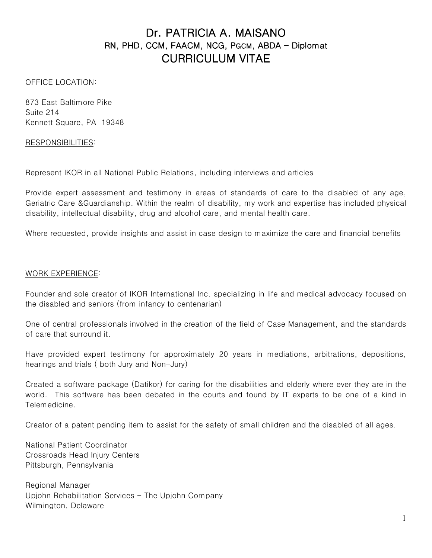# Dr. PATRICIA A. MAISANO RN, PHD, CCM, FAACM, NCG, PGCM, ABDA - Diplomat CURRICULUM VITAE

#### OFFICE LOCATION:

873 East Baltimore Pike Suite 214 Kennett Square, PA 19348

#### RESPONSIBILITIES:

Represent IKOR in all National Public Relations, including interviews and articles

Provide expert assessment and testimony in areas of standards of care to the disabled of any age, Geriatric Care &Guardianship. Within the realm of disability, my work and expertise has included physical disability, intellectual disability, drug and alcohol care, and mental health care.

Where requested, provide insights and assist in case design to maximize the care and financial benefits

#### WORK EXPERIENCE:

Founder and sole creator of IKOR International Inc. specializing in life and medical advocacy focused on the disabled and seniors (from infancy to centenarian)

One of central professionals involved in the creation of the field of Case Management, and the standards of care that surround it.

Have provided expert testimony for approximately 20 years in mediations, arbitrations, depositions, hearings and trials ( both Jury and Non-Jury)

Created a software package (Datikor) for caring for the disabilities and elderly where ever they are in the world. This software has been debated in the courts and found by IT experts to be one of a kind in Telemedicine.

Creator of a patent pending item to assist for the safety of small children and the disabled of all ages.

National Patient Coordinator Crossroads Head Injury Centers Pittsburgh, Pennsylvania

Regional Manager Upjohn Rehabilitation Services - The Upjohn Company Wilmington, Delaware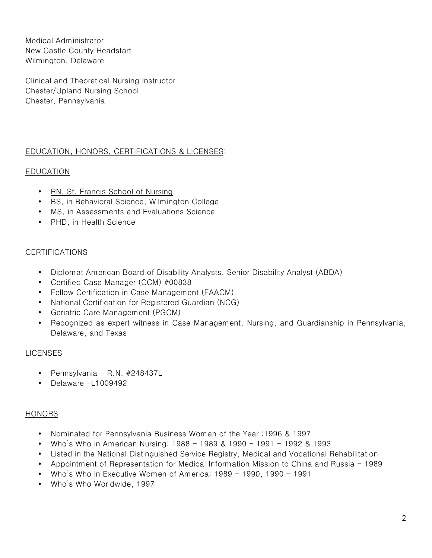Medical Administrator New Castle County Headstart Wilmington, Delaware

Clinical and Theoretical Nursing Instructor Chester/Upland Nursing School Chester, Pennsylvania

# EDUCATION, HONORS, CERTIFICATIONS & LICENSES:

# EDUCATION

- RN, St. Francis School of Nursing
- BS, in Behavioral Science, Wilmington College
- MS, in Assessments and Evaluations Science
- PHD, in Health Science

## CERTIFICATIONS

- Diplomat American Board of Disability Analysts, Senior Disability Analyst (ABDA)
- Certified Case Manager (CCM) #00838
- Fellow Certification in Case Management (FAACM)
- National Certification for Registered Guardian (NCG)
- Geriatric Care Management (PGCM)
- Recognized as expert witness in Case Management, Nursing, and Guardianship in Pennsylvania, Delaware, and Texas

## LICENSES

- Pennsylvania R.N.  $#248437L$
- Delaware -L1009492

## **HONORS**

- Nominated for Pennsylvania Business Woman of the Year :1996 & 1997
- Who's Who in American Nursing: 1988 1989 & 1990 1991 1992 & 1993
- Listed in the National Distinguished Service Registry, Medical and Vocational Rehabilitation
- Appointment of Representation for Medical Information Mission to China and Russia 1989
- Who's Who in Executive Women of America: 1989 1990, 1990 1991
- Who's Who Worldwide, 1997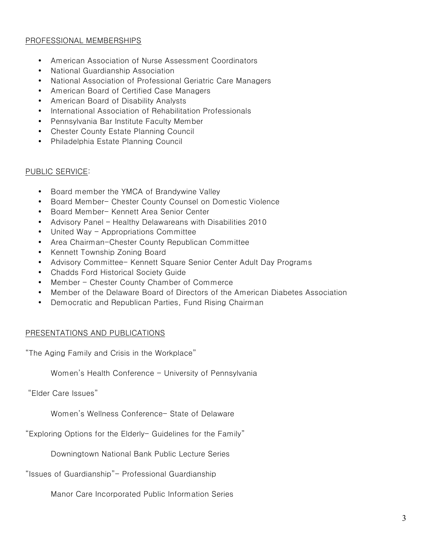# PROFESSIONAL MEMBERSHIPS

- American Association of Nurse Assessment Coordinators
- National Guardianship Association
- National Association of Professional Geriatric Care Managers
- American Board of Certified Case Managers
- American Board of Disability Analysts
- International Association of Rehabilitation Professionals
- Pennsylvania Bar Institute Faculty Member
- Chester County Estate Planning Council
- Philadelphia Estate Planning Council

#### PUBLIC SERVICE:

- Board member the YMCA of Brandywine Valley
- Board Member- Chester County Counsel on Domestic Violence
- Board Member- Kennett Area Senior Center
- Advisory Panel Healthy Delawareans with Disabilities 2010
- United Way Appropriations Committee
- Area Chairman-Chester County Republican Committee
- Kennett Township Zoning Board
- Advisory Committee- Kennett Square Senior Center Adult Day Programs
- Chadds Ford Historical Society Guide
- Member Chester County Chamber of Commerce
- Member of the Delaware Board of Directors of the American Diabetes Association
- Democratic and Republican Parties, Fund Rising Chairman

## PRESENTATIONS AND PUBLICATIONS

"The Aging Family and Crisis in the Workplace"

Women's Health Conference - University of Pennsylvania

"Elder Care Issues"

Women's Wellness Conference- State of Delaware

"Exploring Options for the Elderly- Guidelines for the Family"

Downingtown National Bank Public Lecture Series

"Issues of Guardianship"- Professional Guardianship

Manor Care Incorporated Public Information Series